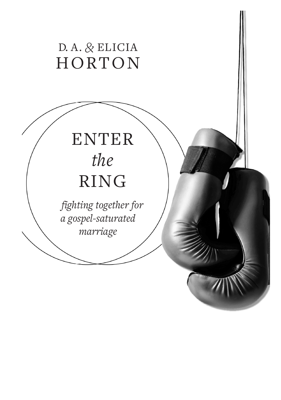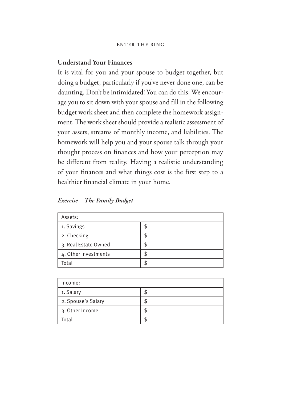# **Understand Your Finances**

It is vital for you and your spouse to budget together, but doing a budget, particularly if you've never done one, can be daunting. Don't be intimidated! You can do this. We encourage you to sit down with your spouse and fill in the following budget work sheet and then complete the homework assignment. The work sheet should provide a realistic assessment of your assets, streams of monthly income, and liabilities. The homework will help you and your spouse talk through your thought process on finances and how your perception may be different from reality. Having a realistic understanding of your finances and what things cost is the first step to a healthier financial climate in your home.

| Assets:              |  |
|----------------------|--|
| 1. Savings           |  |
| 2. Checking          |  |
| 3. Real Estate Owned |  |
| 4. Other Investments |  |
| Total                |  |

*Exercise—The Family Budget*

| Income:            |  |
|--------------------|--|
| 1. Salary          |  |
| 2. Spouse's Salary |  |
| 3. Other Income    |  |
| Total              |  |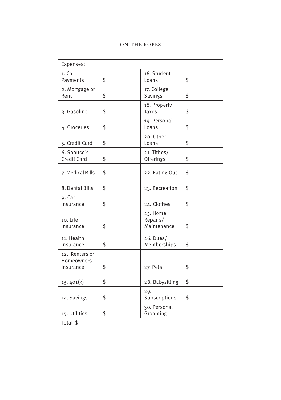#### **On the Ropes**

| Expenses:                                 |    |                                     |    |  |
|-------------------------------------------|----|-------------------------------------|----|--|
| 1. Car<br>Payments                        | \$ | 16. Student<br>Loans                | \$ |  |
| 2. Mortgage or<br>Rent                    | \$ | 17. College<br>Savings              | \$ |  |
| 3. Gasoline                               | \$ | 18. Property<br><b>Taxes</b>        | \$ |  |
| 4. Groceries                              | \$ | 19. Personal<br>Loans               | \$ |  |
| 5. Credit Card                            | \$ | 20. Other<br>Loans                  | \$ |  |
| 6. Spouse's<br>Credit Card                | \$ | 21. Tithes/<br>Offerings            | \$ |  |
| 7. Medical Bills                          | \$ | 22. Eating Out                      | \$ |  |
| 8. Dental Bills                           | \$ | 23. Recreation                      | \$ |  |
| 9. Car<br>Insurance                       | \$ | 24. Clothes                         | \$ |  |
| 10. Life<br>Insurance                     | \$ | 25. Home<br>Repairs/<br>Maintenance | \$ |  |
| 11. Health<br>Insurance                   | \$ | $26.$ Dues/<br>Memberships          | \$ |  |
| 12. Renters or<br>Homeowners<br>Insurance | \$ | 27. Pets                            | \$ |  |
| 13.401(k)                                 | \$ | 28. Babysitting                     | \$ |  |
| 14. Savings                               | \$ | 29.<br>Subscriptions                | \$ |  |
| 15. Utilities                             | \$ | 30. Personal<br>Grooming            |    |  |
| Total \$                                  |    |                                     |    |  |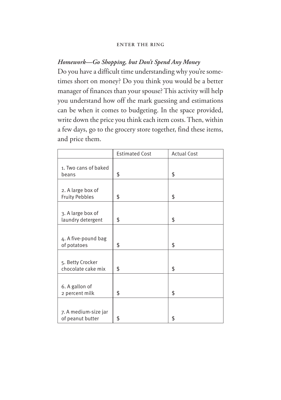# *Homework—Go Shopping, but Don't Spend Any Money*

Do you have a difficult time understanding why you're sometimes short on money? Do you think you would be a better manager of finances than your spouse? This activity will help you understand how off the mark guessing and estimations can be when it comes to budgeting. In the space provided, write down the price you think each item costs. Then, within a few days, go to the grocery store together, find these items, and price them.

|                                            | <b>Estimated Cost</b> | <b>Actual Cost</b> |
|--------------------------------------------|-----------------------|--------------------|
| 1. Two cans of baked<br>beans              | \$                    | \$                 |
| 2. A large box of<br><b>Fruity Pebbles</b> | \$                    | \$                 |
| 3. A large box of<br>laundry detergent     | \$                    | \$                 |
| 4. A five-pound bag<br>of potatoes         | \$                    | \$                 |
| 5. Betty Crocker<br>chocolate cake mix     | \$                    | \$                 |
| 6. A gallon of<br>2 percent milk           | \$                    | \$                 |
| 7. A medium-size jar<br>of peanut butter   | \$                    | \$                 |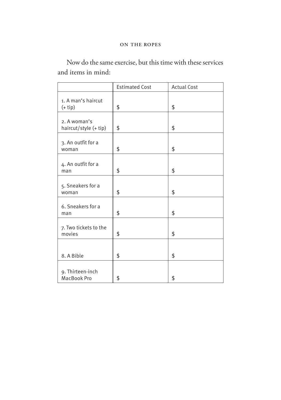## **On the Ropes**

Now do the same exercise, but this time with these services and items in mind:

|                                       | <b>Estimated Cost</b> | <b>Actual Cost</b> |
|---------------------------------------|-----------------------|--------------------|
|                                       |                       |                    |
| 1. A man's haircut<br>$(+ tip)$       | \$                    | \$                 |
|                                       |                       |                    |
| 2. A woman's<br>haircut/style (+ tip) | \$                    | \$                 |
|                                       |                       |                    |
| 3. An outfit for a<br>woman           | \$                    | \$                 |
|                                       |                       |                    |
| 4. An outfit for a<br>man             | \$                    | \$                 |
|                                       |                       |                    |
| 5. Sneakers for a<br>woman            | \$                    | \$                 |
|                                       |                       |                    |
| 6. Sneakers for a<br>man              | \$                    | \$                 |
|                                       |                       |                    |
| 7. Two tickets to the<br>movies       | \$                    | \$                 |
|                                       |                       |                    |
|                                       |                       |                    |
| 8. A Bible                            | \$                    | \$                 |
|                                       |                       |                    |
| 9. Thirteen-inch<br>MacBook Pro       | \$                    | \$                 |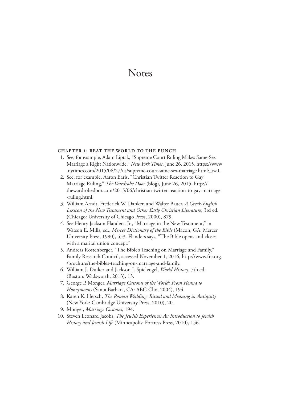# **Notes**

#### **CHAPTER 1: BEAT THE WORLD TO THE PUNCH**

- 1. See, for example, Adam Liptak, "Supreme Court Ruling Makes Same-Sex Marriage a Right Nationwide," *New York Times*, June 26, 2015, https://www .nytimes.com/2015/06/27/us/supreme-court-same-sex-marriage.html?\_r=0.
- 2. See, for example, Aaron Earls, "Christian Twitter Reaction to Gay Marriage Ruling," *The Wardrobe Door* (blog)*,* June 26, 2015, http:// thewardrobedoor.com/2015/06/christian-twitter-reaction-to-gay-marriage -ruling.html.
- 3. William Arndt, Frederick W. Danker, and Walter Bauer, *A Greek-English Lexicon of the New Testament and Other Early Christian Literature*, 3rd ed. (Chicago: University of Chicago Press, 2000), 879.
- 4. See Henry Jackson Flanders, Jr., "Marriage in the New Testament," in Watson E. Mills, ed., *Mercer Dictionary of the Bible* (Macon, GA: Mercer University Press, 1990), 553. Flanders says, "The Bible opens and closes with a marital union concept."
- 5. Andreas Kostenberger, "The Bible's Teaching on Marriage and Family," Family Research Council, accessed November 1, 2016, http://www.frc.org /brochure/the-bibles-teaching-on-marriage-and-family.
- 6. William J. Duiker and Jackson J. Spielvogel, *World History*, 7th ed. (Boston: Wadsworth, 2013), 13.
- 7. George P. Monger, *Marriage Customs of the World: From Henna to Honeymoons* (Santa Barbara, CA: ABC-Clio, 2004), 194.
- 8. Karen K. Hersch, *The Roman Wedding: Ritual and Meaning in Antiquity* (New York: Cambridge University Press, 2010), 20.
- 9. Monger, *Marriage Customs*, 194.
- 10. Steven Leonard Jacobs, *The Jewish Experience: An Introduction to Jewish History and Jewish Life* (Minneapolis: Fortress Press, 2010), 156.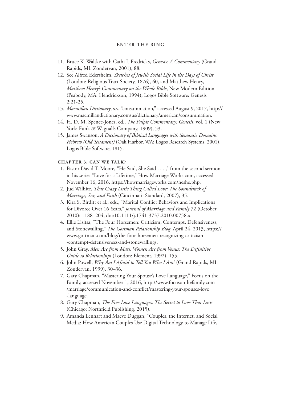- 11. Bruce K. Waltke with Cathi J. Fredricks, *Genesis: A Commentary* (Grand Rapids, MI: Zondervan, 2001), 88.
- 12. See Alfred Edersheim, *Sketches of Jewish Social Life in the Days of Christ* (London: Religious Tract Society, 1876), 60, and Matthew Henry, *Matthew Henry's Commentary on the Whole Bible*, New Modern Edition (Peabody, MA: Hendrickson, 1994), Logos Bible Software: Genesis 2:21-25.
- 13. *Macmillan Dictionary*, s.v. "consummation," accessed August 9, 2017, http:// www.macmillandictionary.com/us/dictionary/american/consummation.
- 14. H. D. M. Spence-Jones, ed., *The Pulpit Commentary: Genesis*, vol. 1 (New York: Funk & Wagnalls Company, 1909), 53.
- 15. James Swanson, *A Dictionary of Biblical Languages with Semantic Domains: Hebrew (Old Testament)* (Oak Harbor, WA: Logos Research Systems, 2001), Logos Bible Software, 1815.

#### **CHAPTER 3: CAN WE TALK?**

- 1. Pastor David T. Moore, "He Said, She Said . . . ," from the second sermon in his series "Love for a Lifetime," How Marriage Works.com, accessed November 16, 2016, https://howmarriageworks.com/heshe.php.
- 2. Jud Wilhite, *That Crazy Little Thing Called Love: The Soundtrack of Marriage, Sex, and Faith* (Cincinnati: Standard, 2007), 35.
- 3. Kira S. Birditt et al., eds., "Marital Conflict Behaviors and Implications for Divorce Over 16 Years," *Journal of Marriage and Family* 72 (October 2010): 1188–204, doi:10.1111/j.1741-3737.2010.00758.x.
- 4. Ellie Lisitsa, "The Four Horsemen: Criticism, Contempt, Defensiveness, and Stonewalling," *The Gottman Relationship Blog*, April 24, 2013, https:// www.gottman.com/blog/the-four-horsemen-recognizing-criticism -contempt-defensiveness-and-stonewalling/.
- 5. John Gray, *Men Are from Mars, Women Are from Venus: The Definitive Guide to Relationships* (London: Element, 1992), 155.
- 6. John Powell, *Why Am I Afraid to Tell You Who I Am?* (Grand Rapids, MI: Zondervan, 1999), 30–36.
- 7. Gary Chapman, "Mastering Your Spouse's Love Language," Focus on the Family, accessed November 1, 2016, http://www.focusonthefamily.com /marriage/communication-and-conflict/mastering-your-spouses-love -language.
- 8. Gary Chapman, *The Five Love Languages: The Secret to Love That Lasts* (Chicago: Northfield Publishing, 2015).
- 9. Amanda Lenhart and Maeve Duggan, "Couples, the Internet, and Social Media: How American Couples Use Digital Technology to Manage Life,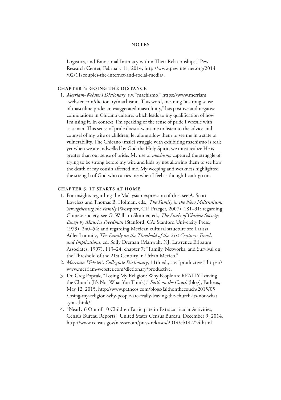#### **Notes**

Logistics, and Emotional Intimacy within Their Relationships," Pew Research Center, February 11, 2014, http://www.pewinternet.org/2014 /02/11/couples-the-internet-and-social-media/.

#### **CHAPTER 4: GOING THE DISTANCE**

1. *Merriam-Webster's Dictionary*, s.v. "machismo," https://www.merriam -webster.com/dictionary/machismo. This word, meaning "a strong sense of masculine pride: an exaggerated masculinity," has positive and negative connotations in Chicano culture, which leads to my qualification of how I'm using it. In context, I'm speaking of the sense of pride I wrestle with as a man. This sense of pride doesn't want me to listen to the advice and counsel of my wife or children, let alone allow them to see me in a state of vulnerability. The Chicano (male) struggle with exhibiting machismo is real; yet when we are indwelled by God the Holy Spirit, we must realize He is greater than our sense of pride. My use of *machismo* captured the struggle of trying to be strong before my wife and kids by not allowing them to see how the death of my cousin affected me. My weeping and weakness highlighted the strength of God who carries me when I feel as though I can't go on.

#### **CHAPTER 5: IT STARTS AT HOME**

- 1. For insights regarding the Malaysian expression of this, see A. Scott Loveless and Thomas B. Holman, eds., *The Family in the New Millennium: Strengthening the Family* (Westport, CT: Praeger, 2007), 181–91; regarding Chinese society, see G. William Skinner, ed., *The Study of Chinese Society: Essays by Maurice Freedman* (Stanford, CA: Stanford University Press, 1979), 240–54; and regarding Mexican cultural structure see Larissa Adler Lomnitz, *The Family on the Threshold of the 21st Century: Trends and Implications*, ed. Solly Dreman (Mahwah, NJ: Lawrence Erlbaum Associates, 1997), 113–24: chapter 7: "Family, Networks, and Survival on the Threshold of the 21st Century in Urban Mexico."
- 2. *Merriam-Webster's Collegiate Dictionary*, 11th ed., s.v. "productive," https:// www.merriam-webster.com/dictionary/productive.
- 3. Dr. Greg Popcak, "Losing My Religion: Why People are REALLY Leaving the Church (It's Not What You Think)," *Faith on the Couch* (blog), Patheos, May 12, 2015, http://www.patheos.com/blogs/faithonthecouch/2015/05 /losing-my-religion-why-people-are-really-leaving-the-church-its-not-what -you-think/.
- 4. "Nearly 6 Out of 10 Children Participate in Extracurricular Activities, Census Bureau Reports," United States Census Bureau, December 9, 2014, http://www.census.gov/newsroom/press-releases/2014/cb14-224.html.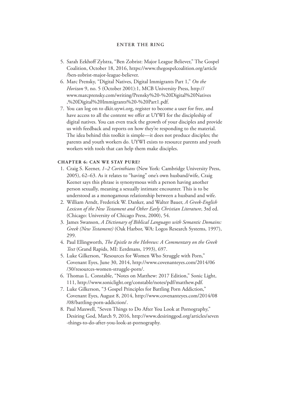- 5. Sarah Eekhoff Zylstra, "Ben Zobrist: Major League Believer," The Gospel Coalition, October 18, 2016, https://www.thegospelcoalition.org/article /ben-zobrist-major-league-believer.
- 6. Marc Prensky, "Digital Natives, Digital Immigrants Part 1," *On the Horizon* 9, no. 5 (October 2001):1, MCB University Press, http:// www.marcprensky.com/writing/Prensky%20-%20Digital%20Natives ,%20Digital%20Immigrants%20-%20Part1.pdf.
- 7. You can log on to dkit.uywi.org, register to become a user for free, and have access to all the content we offer at UYWI for the discipleship of digital natives. You can even track the growth of your disciples and provide us with feedback and reports on how they're responding to the material. The idea behind this toolkit is simple—it does not produce disciples; the parents and youth workers do. UYWI exists to resource parents and youth workers with tools that can help them make disciples.

#### **CHAPTER 6: CAN WE STAY PURE?**

- 1. Craig S. Keener, *1–2 Corinthians* (New York: Cambridge University Press, 2005), 62–63. As it relates to "having" one's own husband/wife, Craig Keener says this phrase is synonymous with a person having another person sexually, meaning a sexually intimate encounter. This is to be understood as a monogamous relationship between a husband and wife.
- 2. William Arndt, Frederick W. Danker, and Walter Bauer, *A Greek-English Lexicon of the New Testament and Other Early Christian Literature*, 3rd ed. (Chicago: University of Chicago Press, 2000), 54.
- 3. James Swanson, *A Dictionary of Biblical Languages with Semantic Domains: Greek (New Testament)* (Oak Harbor, WA: Logos Research Systems, 1997), 299.
- 4. Paul Ellingworth, *The Epistle to the Hebrews: A Commentary on the Greek Text* (Grand Rapids, MI: Eerdmans, 1993), 697.
- 5. Luke Gilkerson, "Resources for Women Who Struggle with Porn," Covenant Eyes, June 30, 2014, http://www.covenanteyes.com/2014/06 /30/resources-women-struggle-porn/.
- 6. Thomas L. Constable, "Notes on Matthew: 2017 Edition," Sonic Light, 111, http://www.soniclight.org/constable/notes/pdf/matthew.pdf.
- 7. Luke Gilkerson, "3 Gospel Principles for Battling Porn Addiction," Covenant Eyes, August 8, 2014, http://www.covenanteyes.com/2014/08 /08/battling-porn-addiction/.
- 8. Paul Maxwell, "Seven Things to Do After You Look at Pornography," Desiring God, March 9, 2016, http://www.desiringgod.org/articles/seven -things-to-do-after-you-look-at-pornography.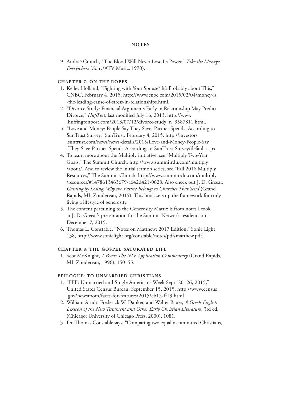#### **Notes**

9. Andraé Crouch, "The Blood Will Never Lose Its Power," *Take the Message Everywhere* (Sony/ATV Music, 1970).

#### **CHAPTER 7: ON THE ROPES**

- 1. Kelley Holland, "Fighting with Your Spouse? It's Probably about This," CNBC, February 4, 2015, http://www.cnbc.com/2015/02/04/money-is -the-leading-cause-of-stress-in-relationships.html.
- 2. "Divorce Study: Financial Arguments Early in Relationship May Predict Divorce," *HuffPost*, last modified July 16, 2013, http://www .huffingtonpost.com/2013/07/12/divorce-study\_n\_3587811.html.
- 3. "Love and Money: People Say They Save, Partner Spends, According to SunTrust Survey," SunTrust, February 4, 2015, http://investors .suntrust.com/news/news-details/2015/Love-and-Money-People-Say -They-Save-Partner-Spends-According-to-SunTrust-Survey/default.aspx.
- 4. To learn more about the Multiply initiative, see "Multiply Two-Year Goals," The Summit Church, http://www.summitrdu.com/multiply /about/. And to review the initial sermon series, see "Fall 2016 Multiply Resources," The Summit Church, http://www.summitrdu.com/multiply /resources/#1478613463679-a642d421-0628. Also check out J. D. Greear, *Gaining by Losing: Why the Future Belongs to Churches That Send* (Grand Rapids, MI: Zondervan, 2015). This book sets up the framework for truly living a lifestyle of generosity.
- 5. The content pertaining to the Generosity Matrix is from notes I took at J. D. Greear's presentation for the Summit Network residents on December 7, 2015.
- 6. Thomas L. Constable, "Notes on Matthew: 2017 Edition," Sonic Light, 138, http://www.soniclight.org/constable/notes/pdf/matthew.pdf.

#### **CHAPTER 8: THE GOSPEL-SATURATED LIFE**

1. Scot McKnight, *1 Peter: The NIV Application Commentary* (Grand Rapids, MI: Zondervan, 1996), 150–55.

#### **EPILOGUE: TO UNMARRIED CHRISTIANS**

- 1. "FFF: Unmarried and Single Americans Week Sept. 20–26, 2015," United States Census Bureau, September 15, 2015, http://www.census .gov/newsroom/facts-for-features/2015/cb15-ff19.html.
- 2. William Arndt, Frederick W. Danker, and Walter Bauer, *A Greek-English Lexicon of the New Testament and Other Early Christian Literature*, 3rd ed. (Chicago: University of Chicago Press, 2000), 1081.
- 3. Dr. Thomas Constable says, "Comparing two equally committed Christians,